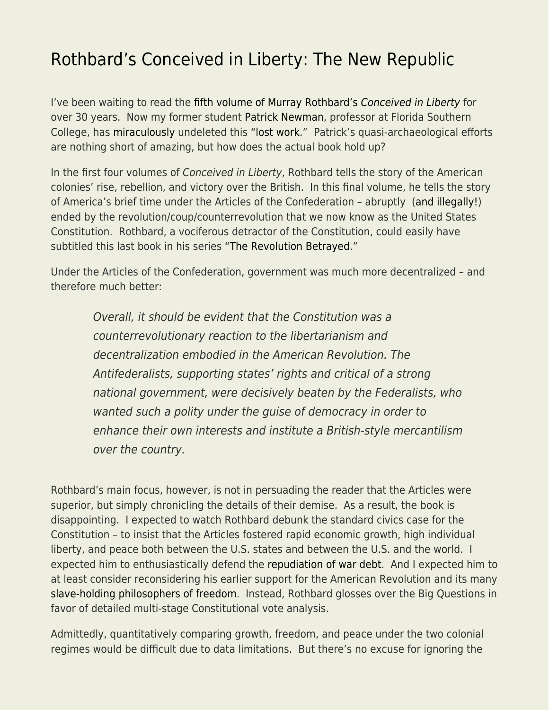## [Rothbard's Conceived in Liberty: The New Republic](https://everything-voluntary.com/rothbards-conceived-in-liberty-the-new-republic)

I've been waiting to read the [fifth volume of Murray Rothbard's](https://mises.org/library/conceived-liberty-volume-5-new-republic-1784-1791) [Conceived in Liberty](https://mises.org/library/conceived-liberty-volume-5-new-republic-1784-1791) for over 30 years. Now my former student [Patrick Newman](https://www.flsouthern.edu/faculty/patrick-newman.aspx), professor at Florida Southern College, has [miraculously](https://www.youtube.com/watch?v=duzmFvKGJU0) undeleted this ["lost work](https://mises.org/library/lost-fifth-volume-conceived-liberty)." Patrick's quasi-archaeological efforts are nothing short of amazing, but how does the actual book hold up?

In the first four volumes of Conceived in Liberty, Rothbard tells the story of the American colonies' rise, rebellion, and victory over the British. In this final volume, he tells the story of America's brief time under the Articles of the Confederation – abruptly ([and illegally!](https://www.minnpost.com/eric-black-ink/2012/10/do-you-know-constitution-unconstitutional/)) ended by the revolution/coup/counterrevolution that we now know as the United States Constitution. Rothbard, a vociferous detractor of the Constitution, could easily have subtitled this last book in his series ["The Revolution Betrayed](https://en.wikipedia.org/wiki/The_Revolution_Betrayed)."

Under the Articles of the Confederation, government was much more decentralized – and therefore much better:

Overall, it should be evident that the Constitution was a counterrevolutionary reaction to the libertarianism and decentralization embodied in the American Revolution. The Antifederalists, supporting states' rights and critical of a strong national government, were decisively beaten by the Federalists, who wanted such a polity under the guise of democracy in order to enhance their own interests and institute a British-style mercantilism over the country.

Rothbard's main focus, however, is not in persuading the reader that the Articles were superior, but simply chronicling the details of their demise. As a result, the book is disappointing. I expected to watch Rothbard debunk the standard civics case for the Constitution – to insist that the Articles fostered rapid economic growth, high individual liberty, and peace both between the U.S. states and between the U.S. and the world. I expected him to enthusiastically defend the [repudiation of war debt.](https://mises.org/library/repudiating-national-debt) And I expected him to at least consider reconsidering his earlier support for the American Revolution and its many [slave-holding philosophers of freedom.](https://www.econlib.org/archives/2009/01/econlog_book_cl_1.html) Instead, Rothbard glosses over the Big Questions in favor of detailed multi-stage Constitutional vote analysis.

Admittedly, quantitatively comparing growth, freedom, and peace under the two colonial regimes would be difficult due to data limitations. But there's no excuse for ignoring the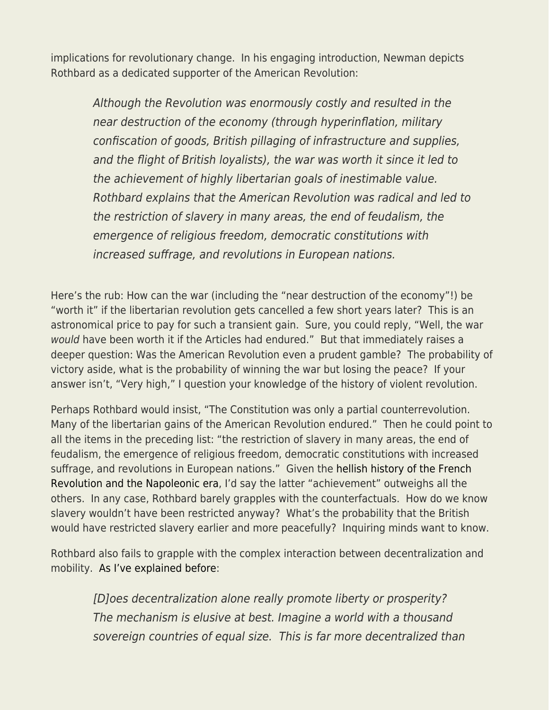implications for revolutionary change. In his engaging introduction, Newman depicts Rothbard as a dedicated supporter of the American Revolution:

Although the Revolution was enormously costly and resulted in the near destruction of the economy (through hyperinflation, military confiscation of goods, British pillaging of infrastructure and supplies, and the flight of British loyalists), the war was worth it since it led to the achievement of highly libertarian goals of inestimable value. Rothbard explains that the American Revolution was radical and led to the restriction of slavery in many areas, the end of feudalism, the emergence of religious freedom, democratic constitutions with increased suffrage, and revolutions in European nations.

Here's the rub: How can the war (including the "near destruction of the economy"!) be "worth it" if the libertarian revolution gets cancelled a few short years later? This is an astronomical price to pay for such a transient gain. Sure, you could reply, "Well, the war would have been worth it if the Articles had endured." But that immediately raises a deeper question: Was the American Revolution even a prudent gamble? The probability of victory aside, what is the probability of winning the war but losing the peace? If your answer isn't, "Very high," I question your knowledge of the history of violent revolution.

Perhaps Rothbard would insist, "The Constitution was only a partial counterrevolution. Many of the libertarian gains of the American Revolution endured." Then he could point to all the items in the preceding list: "the restriction of slavery in many areas, the end of feudalism, the emergence of religious freedom, democratic constitutions with increased suffrage, and revolutions in European nations." Given the [hellish history of the French](https://www.econlib.org/disaster-and-construal-level-theory/) [Revolution and the Napoleonic era,](https://www.econlib.org/disaster-and-construal-level-theory/) I'd say the latter "achievement" outweighs all the others. In any case, Rothbard barely grapples with the counterfactuals. How do we know slavery wouldn't have been restricted anyway? What's the probability that the British would have restricted slavery earlier and more peacefully? Inquiring minds want to know.

Rothbard also fails to grapple with the complex interaction between decentralization and mobility. [As I've explained before](https://www.econlib.org/decentralization-please-hold-your-applause/):

[D]oes decentralization alone really promote liberty or prosperity? The mechanism is elusive at best. Imagine a world with a thousand sovereign countries of equal size. This is far more decentralized than